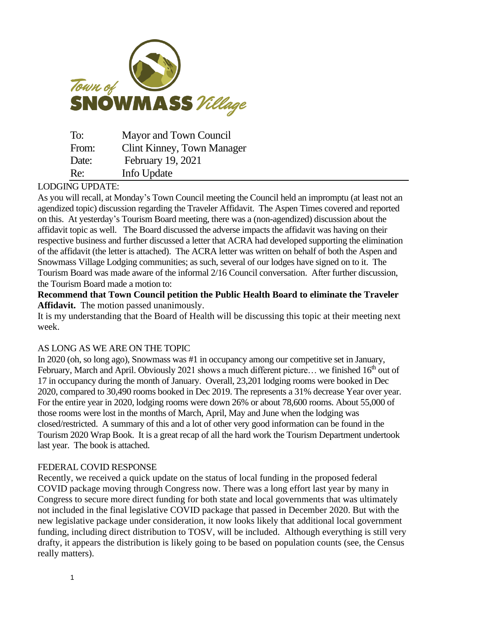

| To:   | Mayor and Town Council     |
|-------|----------------------------|
| From: | Clint Kinney, Town Manager |
| Date: | February 19, 2021          |
| Re:   | Info Update                |

## LODGING UPDATE:

As you will recall, at Monday's Town Council meeting the Council held an impromptu (at least not an agendized topic) discussion regarding the Traveler Affidavit. The Aspen Times covered and reported on this. At yesterday's Tourism Board meeting, there was a (non-agendized) discussion about the affidavit topic as well. The Board discussed the adverse impacts the affidavit was having on their respective business and further discussed a letter that ACRA had developed supporting the elimination of the affidavit (the letter is attached). The ACRA letter was written on behalf of both the Aspen and Snowmass Village Lodging communities; as such, several of our lodges have signed on to it. The Tourism Board was made aware of the informal 2/16 Council conversation. After further discussion, the Tourism Board made a motion to:

**Recommend that Town Council petition the Public Health Board to eliminate the Traveler Affidavit.** The motion passed unanimously.

It is my understanding that the Board of Health will be discussing this topic at their meeting next week.

## AS LONG AS WE ARE ON THE TOPIC

In 2020 (oh, so long ago), Snowmass was #1 in occupancy among our competitive set in January, February, March and April. Obviously 2021 shows a much different picture... we finished 16<sup>th</sup> out of 17 in occupancy during the month of January. Overall, 23,201 lodging rooms were booked in Dec 2020, compared to 30,490 rooms booked in Dec 2019. The represents a 31% decrease Year over year. For the entire year in 2020, lodging rooms were down 26% or about 78,600 rooms. About 55,000 of those rooms were lost in the months of March, April, May and June when the lodging was closed/restricted. A summary of this and a lot of other very good information can be found in the Tourism 2020 Wrap Book. It is a great recap of all the hard work the Tourism Department undertook last year. The book is attached.

## FEDERAL COVID RESPONSE

Recently, we received a quick update on the status of local funding in the proposed federal COVID package moving through Congress now. There was a long effort last year by many in Congress to secure more direct funding for both state and local governments that was ultimately not included in the final legislative COVID package that passed in December 2020. But with the new legislative package under consideration, it now looks likely that additional local government funding, including direct distribution to TOSV, will be included. Although everything is still very drafty, it appears the distribution is likely going to be based on population counts (see, the Census really matters).